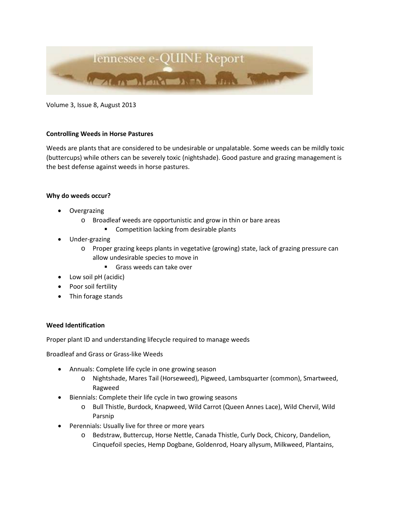

Volume 3, Issue 8, August 2013

### **Controlling Weeds in Horse Pastures**

Weeds are plants that are considered to be undesirable or unpalatable. Some weeds can be mildly toxic (buttercups) while others can be severely toxic (nightshade). Good pasture and grazing management is the best defense against weeds in horse pastures.

## **Why do weeds occur?**

- **Overgrazing** 
	- o Broadleaf weeds are opportunistic and grow in thin or bare areas
		- **EXECOMPETE COMPETE COMPACT** COMPETED **FROM**
- Under-grazing
	- o Proper grazing keeps plants in vegetative (growing) state, lack of grazing pressure can allow undesirable species to move in
		- Grass weeds can take over
- Low soil pH (acidic)
- Poor soil fertility
- Thin forage stands

#### **Weed Identification**

Proper plant ID and understanding lifecycle required to manage weeds

Broadleaf and Grass or Grass-like Weeds

- Annuals: Complete life cycle in one growing season
	- o Nightshade, Mares Tail (Horseweed), Pigweed, Lambsquarter (common), Smartweed, Ragweed
- Biennials: Complete their life cycle in two growing seasons
	- o Bull Thistle, Burdock, Knapweed, Wild Carrot (Queen Annes Lace), Wild Chervil, Wild Parsnip
- Perennials: Usually live for three or more years
	- o Bedstraw, Buttercup, Horse Nettle, Canada Thistle, Curly Dock, Chicory, Dandelion, Cinquefoil species, Hemp Dogbane, Goldenrod, Hoary allysum, Milkweed, Plantains,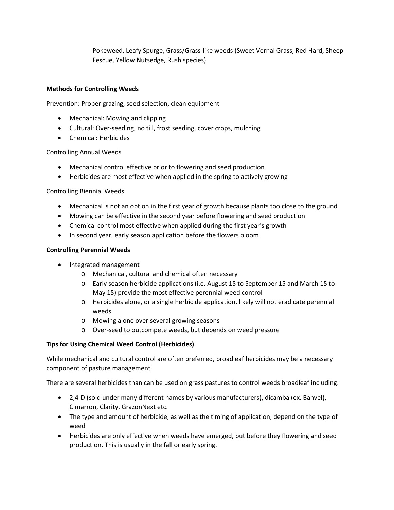Pokeweed, Leafy Spurge, Grass/Grass-like weeds (Sweet Vernal Grass, Red Hard, Sheep Fescue, Yellow Nutsedge, Rush species)

# **Methods for Controlling Weeds**

Prevention: Proper grazing, seed selection, clean equipment

- Mechanical: Mowing and clipping
- Cultural: Over-seeding, no till, frost seeding, cover crops, mulching
- Chemical: Herbicides

Controlling Annual Weeds

- Mechanical control effective prior to flowering and seed production
- Herbicides are most effective when applied in the spring to actively growing

Controlling Biennial Weeds

- Mechanical is not an option in the first year of growth because plants too close to the ground
- Mowing can be effective in the second year before flowering and seed production
- Chemical control most effective when applied during the first year's growth
- In second year, early season application before the flowers bloom

## **Controlling Perennial Weeds**

- Integrated management
	- o Mechanical, cultural and chemical often necessary
	- o Early season herbicide applications (i.e. August 15 to September 15 and March 15 to May 15) provide the most effective perennial weed control
	- o Herbicides alone, or a single herbicide application, likely will not eradicate perennial weeds
	- o Mowing alone over several growing seasons
	- o Over-seed to outcompete weeds, but depends on weed pressure

## **Tips for Using Chemical Weed Control (Herbicides)**

While mechanical and cultural control are often preferred, broadleaf herbicides may be a necessary component of pasture management

There are several herbicides than can be used on grass pastures to control weeds broadleaf including:

- 2,4-D (sold under many different names by various manufacturers), dicamba (ex. Banvel), Cimarron, Clarity, GrazonNext etc.
- The type and amount of herbicide, as well as the timing of application, depend on the type of weed
- Herbicides are only effective when weeds have emerged, but before they flowering and seed production. This is usually in the fall or early spring.